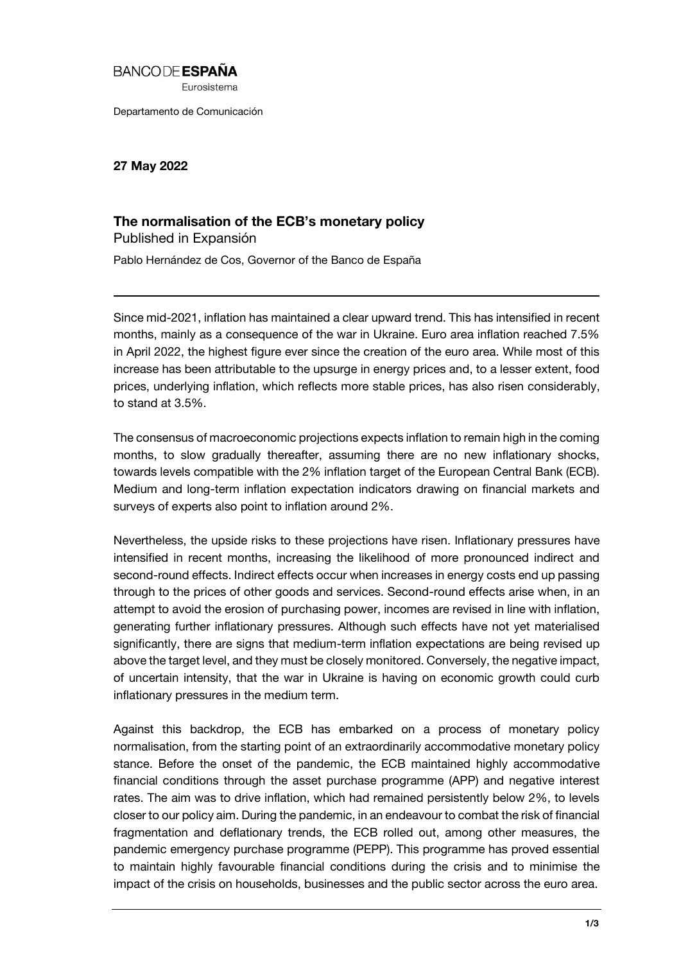## **BANCODE ESPAÑA**

Eurosistema

Departamento de Comunicación

**27 May 2022**

## **The normalisation of the ECB's monetary policy**

Published in Expansión Pablo Hernández de Cos, Governor of the Banco de España

Since mid-2021, inflation has maintained a clear upward trend. This has intensified in recent months, mainly as a consequence of the war in Ukraine. Euro area inflation reached 7.5% in April 2022, the highest figure ever since the creation of the euro area. While most of this increase has been attributable to the upsurge in energy prices and, to a lesser extent, food prices, underlying inflation, which reflects more stable prices, has also risen considerably, to stand at 3.5%.

The consensus of macroeconomic projections expects inflation to remain high in the coming months, to slow gradually thereafter, assuming there are no new inflationary shocks, towards levels compatible with the 2% inflation target of the European Central Bank (ECB). Medium and long-term inflation expectation indicators drawing on financial markets and surveys of experts also point to inflation around 2%.

Nevertheless, the upside risks to these projections have risen. Inflationary pressures have intensified in recent months, increasing the likelihood of more pronounced indirect and second-round effects. Indirect effects occur when increases in energy costs end up passing through to the prices of other goods and services. Second-round effects arise when, in an attempt to avoid the erosion of purchasing power, incomes are revised in line with inflation, generating further inflationary pressures. Although such effects have not yet materialised significantly, there are signs that medium-term inflation expectations are being revised up above the target level, and they must be closely monitored. Conversely, the negative impact, of uncertain intensity, that the war in Ukraine is having on economic growth could curb inflationary pressures in the medium term.

Against this backdrop, the ECB has embarked on a process of monetary policy normalisation, from the starting point of an extraordinarily accommodative monetary policy stance. Before the onset of the pandemic, the ECB maintained highly accommodative financial conditions through the asset purchase programme (APP) and negative interest rates. The aim was to drive inflation, which had remained persistently below 2%, to levels closer to our policy aim. During the pandemic, in an endeavour to combat the risk of financial fragmentation and deflationary trends, the ECB rolled out, among other measures, the pandemic emergency purchase programme (PEPP). This programme has proved essential to maintain highly favourable financial conditions during the crisis and to minimise the impact of the crisis on households, businesses and the public sector across the euro area.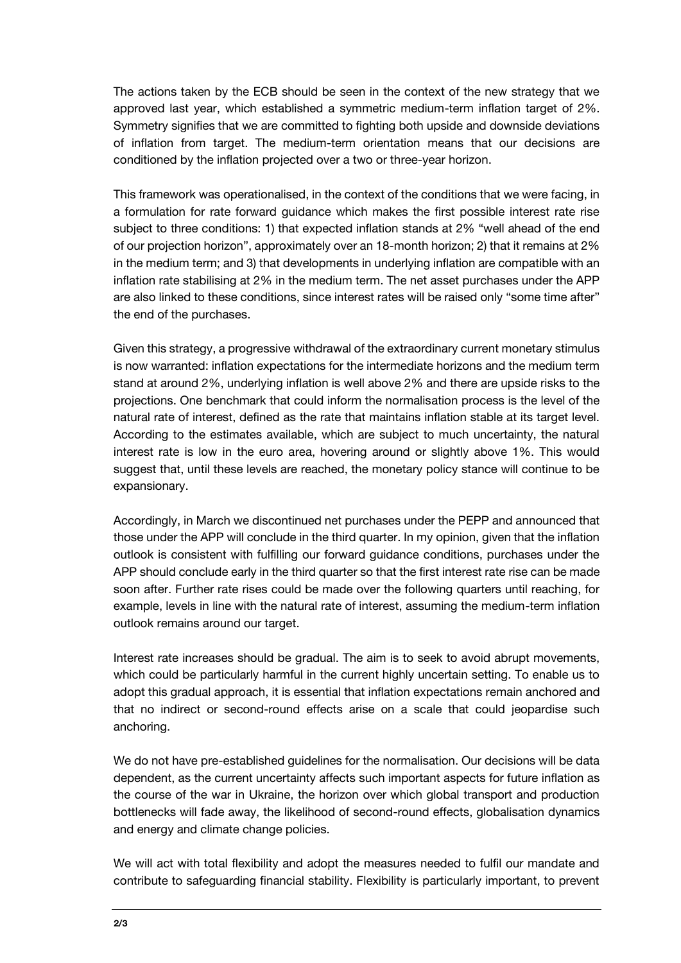The actions taken by the ECB should be seen in the context of the new strategy that we approved last year, which established a symmetric medium-term inflation target of 2%. Symmetry signifies that we are committed to fighting both upside and downside deviations of inflation from target. The medium-term orientation means that our decisions are conditioned by the inflation projected over a two or three-year horizon.

This framework was operationalised, in the context of the conditions that we were facing, in a formulation for rate forward guidance which makes the first possible interest rate rise subject to three conditions: 1) that expected inflation stands at 2% "well ahead of the end of our projection horizon", approximately over an 18-month horizon; 2) that it remains at 2% in the medium term; and 3) that developments in underlying inflation are compatible with an inflation rate stabilising at 2% in the medium term. The net asset purchases under the APP are also linked to these conditions, since interest rates will be raised only "some time after" the end of the purchases.

Given this strategy, a progressive withdrawal of the extraordinary current monetary stimulus is now warranted: inflation expectations for the intermediate horizons and the medium term stand at around 2%, underlying inflation is well above 2% and there are upside risks to the projections. One benchmark that could inform the normalisation process is the level of the natural rate of interest, defined as the rate that maintains inflation stable at its target level. According to the estimates available, which are subject to much uncertainty, the natural interest rate is low in the euro area, hovering around or slightly above 1%. This would suggest that, until these levels are reached, the monetary policy stance will continue to be expansionary.

Accordingly, in March we discontinued net purchases under the PEPP and announced that those under the APP will conclude in the third quarter. In my opinion, given that the inflation outlook is consistent with fulfilling our forward guidance conditions, purchases under the APP should conclude early in the third quarter so that the first interest rate rise can be made soon after. Further rate rises could be made over the following quarters until reaching, for example, levels in line with the natural rate of interest, assuming the medium-term inflation outlook remains around our target.

Interest rate increases should be gradual. The aim is to seek to avoid abrupt movements, which could be particularly harmful in the current highly uncertain setting. To enable us to adopt this gradual approach, it is essential that inflation expectations remain anchored and that no indirect or second-round effects arise on a scale that could jeopardise such anchoring.

We do not have pre-established guidelines for the normalisation. Our decisions will be data dependent, as the current uncertainty affects such important aspects for future inflation as the course of the war in Ukraine, the horizon over which global transport and production bottlenecks will fade away, the likelihood of second-round effects, globalisation dynamics and energy and climate change policies.

We will act with total flexibility and adopt the measures needed to fulfil our mandate and contribute to safeguarding financial stability. Flexibility is particularly important, to prevent